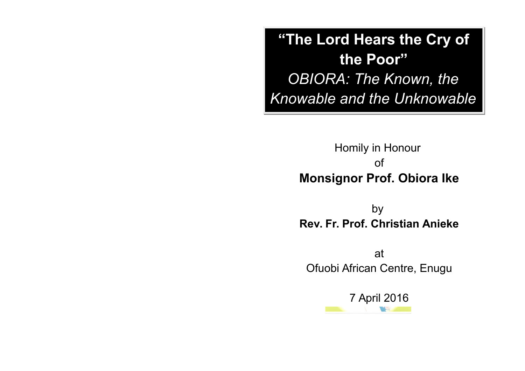**"The Lord Hears the Cry of the Poor"** *OBIORA: The Known, the Knowable and the Unknowable*

> Homily in Honour of **Monsignor Prof. Obiora Ike**

> by **Rev. Fr. Prof. Christian Anieke**

at Ofuobi African Centre, Enugu

7 April 2016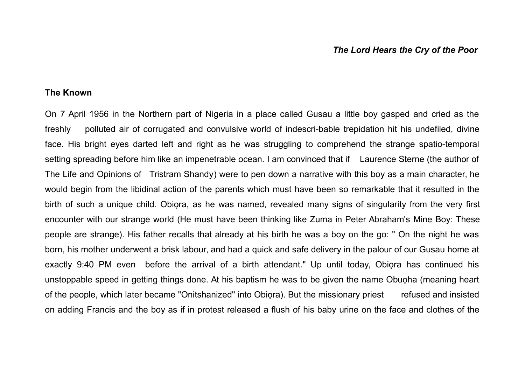## *The Lord Hears the Cry of the Poor*

## **The Known**

On 7 April 1956 in the Northern part of Nigeria in a place called Gusau a little boy gasped and cried as the freshly polluted air of corrugated and convulsive world of indescri-bable trepidation hit his undefiled, divine face. His bright eyes darted left and right as he was struggling to comprehend the strange spatio-temporal setting spreading before him like an impenetrable ocean. I am convinced that if Laurence Sterne (the author of The Life and Opinions of Tristram Shandy) were to pen down a narrative with this boy as a main character, he would begin from the libidinal action of the parents which must have been so remarkable that it resulted in the birth of such a unique child. Obiọra, as he was named, revealed many signs of singularity from the very first encounter with our strange world (He must have been thinking like Zuma in Peter Abraham's Mine Boy: These people are strange). His father recalls that already at his birth he was a boy on the go: " On the night he was born, his mother underwent a brisk labour, and had a quick and safe delivery in the palour of our Gusau home at exactly 9:40 PM even before the arrival of a birth attendant." Up until today, Obiọra has continued his unstoppable speed in getting things done. At his baptism he was to be given the name Obuoha (meaning heart of the people, which later became "Onitshanized" into Obiọra). But the missionary priest refused and insisted on adding Francis and the boy as if in protest released a flush of his baby urine on the face and clothes of the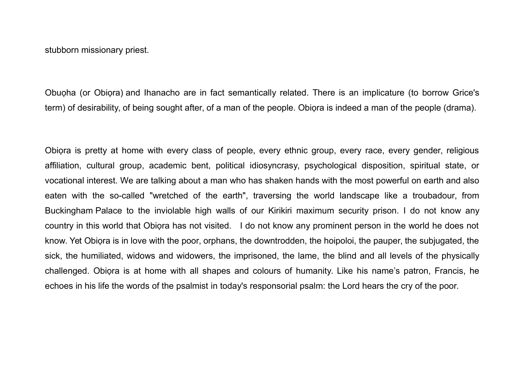stubborn missionary priest.

Obuoha (or Obiora) and Ihanacho are in fact semantically related. There is an implicature (to borrow Grice's term) of desirability, of being sought after, of a man of the people. Obiọra is indeed a man of the people (drama).

Obiora is pretty at home with every class of people, every ethnic group, every race, every gender, religious affiliation, cultural group, academic bent, political idiosyncrasy, psychological disposition, spiritual state, or vocational interest. We are talking about a man who has shaken hands with the most powerful on earth and also eaten with the so-called "wretched of the earth", traversing the world landscape like a troubadour, from Buckingham Palace to the inviolable high walls of our Kirikiri maximum security prison. I do not know any country in this world that Obiọra has not visited. I do not know any prominent person in the world he does not know. Yet Obiọra is in love with the poor, orphans, the downtrodden, the hoipoloi, the pauper, the subjugated, the sick, the humiliated, widows and widowers, the imprisoned, the lame, the blind and all levels of the physically challenged. Obiọra is at home with all shapes and colours of humanity. Like his name's patron, Francis, he echoes in his life the words of the psalmist in today's responsorial psalm: the Lord hears the cry of the poor.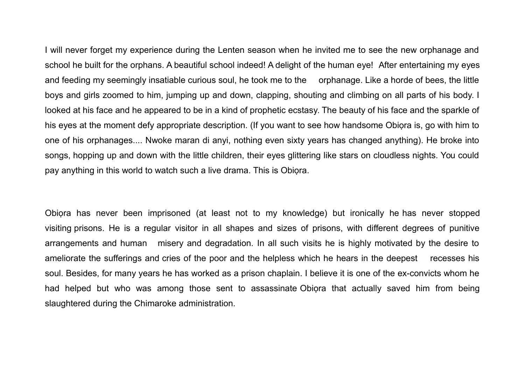I will never forget my experience during the Lenten season when he invited me to see the new orphanage and school he built for the orphans. A beautiful school indeed! A delight of the human eye! After entertaining my eyes and feeding my seemingly insatiable curious soul, he took me to the orphanage. Like a horde of bees, the little boys and girls zoomed to him, jumping up and down, clapping, shouting and climbing on all parts of his body. I looked at his face and he appeared to be in a kind of prophetic ecstasy. The beauty of his face and the sparkle of his eyes at the moment defy appropriate description. (If you want to see how handsome Obiọra is, go with him to one of his orphanages.... Nwoke maran di anyi, nothing even sixty years has changed anything). He broke into songs, hopping up and down with the little children, their eyes glittering like stars on cloudless nights. You could pay anything in this world to watch such a live drama. This is Obiọra.

Obiora has never been imprisoned (at least not to my knowledge) but ironically he has never stopped visiting prisons. He is a regular visitor in all shapes and sizes of prisons, with different degrees of punitive arrangements and human misery and degradation. In all such visits he is highly motivated by the desire to ameliorate the sufferings and cries of the poor and the helpless which he hears in the deepest recesses his soul. Besides, for many years he has worked as a prison chaplain. I believe it is one of the ex-convicts whom he had helped but who was among those sent to assassinate Obiora that actually saved him from being slaughtered during the Chimaroke administration.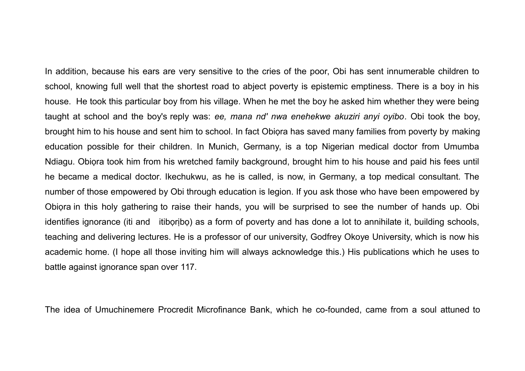In addition, because his ears are very sensitive to the cries of the poor, Obi has sent innumerable children to school, knowing full well that the shortest road to abject poverty is epistemic emptiness. There is a boy in his house. He took this particular boy from his village. When he met the boy he asked him whether they were being taught at school and the boy's reply was: *ee, mana nd' nwa enehekwe akuziri anyi oyibo*. Obi took the boy, brought him to his house and sent him to school. In fact Obiọra has saved many families from poverty by making education possible for their children. In Munich, Germany, is a top Nigerian medical doctor from Umumba Ndiagu. Obiora took him from his wretched family background, brought him to his house and paid his fees until he became a medical doctor. Ikechukwu, as he is called, is now, in Germany, a top medical consultant. The number of those empowered by Obi through education is legion. If you ask those who have been empowered by Obiọra in this holy gathering to raise their hands, you will be surprised to see the number of hands up. Obi identifies ignorance (iti and itibọrịbọ) as a form of poverty and has done a lot to annihilate it, building schools, teaching and delivering lectures. He is a professor of our university, Godfrey Okoye University, which is now his academic home. (I hope all those inviting him will always acknowledge this.) His publications which he uses to battle against ignorance span over 117.

The idea of Umuchinemere Procredit Microfinance Bank, which he co-founded, came from a soul attuned to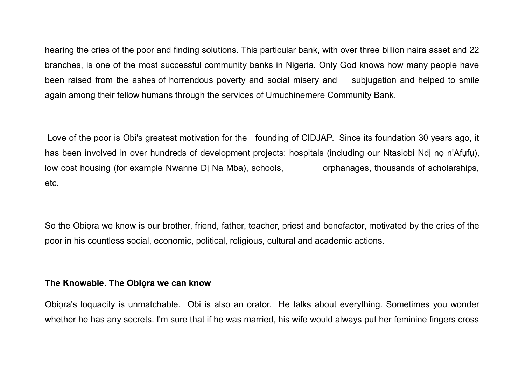hearing the cries of the poor and finding solutions. This particular bank, with over three billion naira asset and 22 branches, is one of the most successful community banks in Nigeria. Only God knows how many people have been raised from the ashes of horrendous poverty and social misery and subjugation and helped to smile again among their fellow humans through the services of Umuchinemere Community Bank.

Love of the poor is Obi's greatest motivation for the founding of CIDJAP. Since its foundation 30 years ago, it has been involved in over hundreds of development projects: hospitals (including our Ntasiobi Ndị nọ n'Afụfụ), low cost housing (for example Nwanne Di Na Mba), schools, orphanages, thousands of scholarships, etc.

So the Obiora we know is our brother, friend, father, teacher, priest and benefactor, motivated by the cries of the poor in his countless social, economic, political, religious, cultural and academic actions.

## **The Knowable. The Obiọra we can know**

Obiọra's loquacity is unmatchable. Obi is also an orator. He talks about everything. Sometimes you wonder whether he has any secrets. I'm sure that if he was married, his wife would always put her feminine fingers cross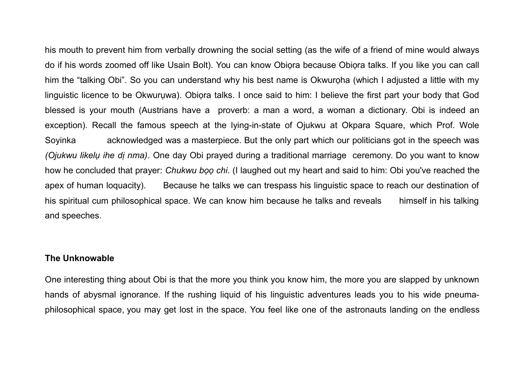his mouth to prevent him from verbally drowning the social setting (as the wife of a friend of mine would always do if his words zoomed off like Usain Bolt). You can know Obiọra because Obiọra talks. If you like you can call him the "talking Obi". So you can understand why his best name is Okwuroha (which I adjusted a little with my linguistic licence to be Okwurụwa). Obiọra talks. I once said to him: I believe the first part your body that God blessed is your mouth (Austrians have a proverb: a man a word, a woman a dictionary. Obi is indeed an exception). Recall the famous speech at the lying-in-state of Ojukwu at Okpara Square, which Prof. Wole Soyinka acknowledged was a masterpiece. But the only part which our politicians got in the speech was *(Ojukwu likelụ ihe dị nma)*. One day Obi prayed during a traditional marriage ceremony. Do you want to know how he concluded that prayer: *Chukwu bọọ chi*. (I laughed out my heart and said to him: Obi you've reached the apex of human loquacity). Because he talks we can trespass his linguistic space to reach our destination of his spiritual cum philosophical space. We can know him because he talks and reveals himself in his talking and speeches.

## **The Unknowable**

One interesting thing about Obi is that the more you think you know him, the more you are slapped by unknown hands of abysmal ignorance. If the rushing liquid of his linguistic adventures leads you to his wide pneumaphilosophical space, you may get lost in the space. You feel like one of the astronauts landing on the endless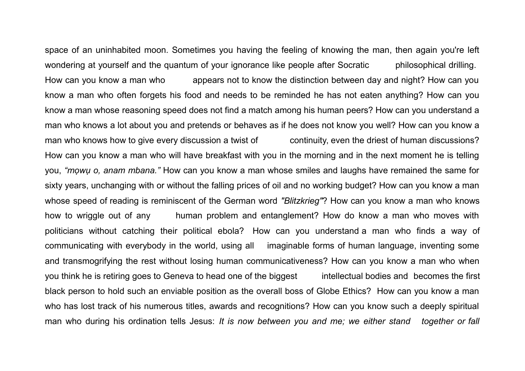space of an uninhabited moon. Sometimes you having the feeling of knowing the man, then again you're left wondering at yourself and the quantum of your ignorance like people after Socratic philosophical drilling. How can you know a man who appears not to know the distinction between day and night? How can you know a man who often forgets his food and needs to be reminded he has not eaten anything? How can you know a man whose reasoning speed does not find a match among his human peers? How can you understand a man who knows a lot about you and pretends or behaves as if he does not know you well? How can you know a man who knows how to give every discussion a twist of continuity, even the driest of human discussions? How can you know a man who will have breakfast with you in the morning and in the next moment he is telling you, *"mọwụ o, anam mbana."* How can you know a man whose smiles and laughs have remained the same for sixty years, unchanging with or without the falling prices of oil and no working budget? How can you know a man whose speed of reading is reminiscent of the German word *"Blitzkrieg"*? How can you know a man who knows how to wriggle out of any human problem and entanglement? How do know a man who moves with politicians without catching their political ebola? How can you understand a man who finds a way of communicating with everybody in the world, using all imaginable forms of human language, inventing some and transmogrifying the rest without losing human communicativeness? How can you know a man who when you think he is retiring goes to Geneva to head one of the biggest intellectual bodies and becomes the first black person to hold such an enviable position as the overall boss of Globe Ethics? How can you know a man who has lost track of his numerous titles, awards and recognitions? How can you know such a deeply spiritual man who during his ordination tells Jesus: *It is now between you and me; we either stand together or fall*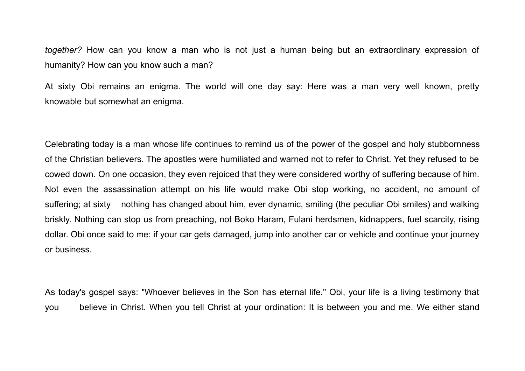*together?* How can you know a man who is not just a human being but an extraordinary expression of humanity? How can you know such a man?

At sixty Obi remains an enigma. The world will one day say: Here was a man very well known, pretty knowable but somewhat an enigma.

Celebrating today is a man whose life continues to remind us of the power of the gospel and holy stubbornness of the Christian believers. The apostles were humiliated and warned not to refer to Christ. Yet they refused to be cowed down. On one occasion, they even rejoiced that they were considered worthy of suffering because of him. Not even the assassination attempt on his life would make Obi stop working, no accident, no amount of suffering; at sixty nothing has changed about him, ever dynamic, smiling (the peculiar Obi smiles) and walking briskly. Nothing can stop us from preaching, not Boko Haram, Fulani herdsmen, kidnappers, fuel scarcity, rising dollar. Obi once said to me: if your car gets damaged, jump into another car or vehicle and continue your journey or business.

As today's gospel says: "Whoever believes in the Son has eternal life." Obi, your life is a living testimony that you believe in Christ. When you tell Christ at your ordination: It is between you and me. We either stand